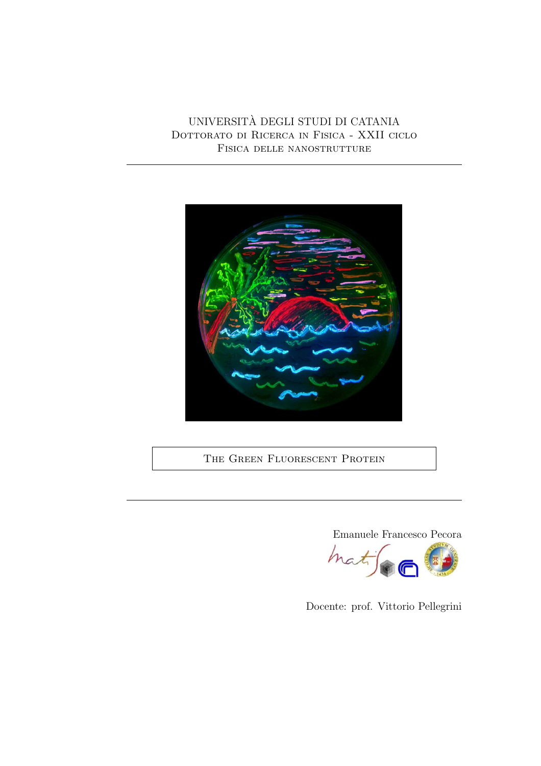UNIVERSITA DEGLI STUDI DI CATANIA ` DOTTORATO DI RICERCA IN FISICA - XXII CICLO Fisica delle nanostrutture



THE GREEN FLUORESCENT PROTEIN



Docente: prof. Vittorio Pellegrini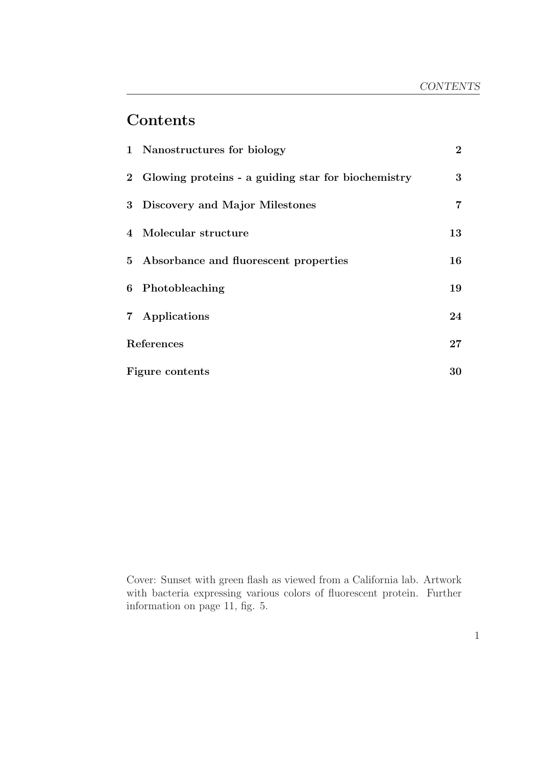# **Contents**

|            | 1 Nanostructures for biology                         | $\overline{2}$ |
|------------|------------------------------------------------------|----------------|
|            | 2 Glowing proteins - a guiding star for biochemistry | 3              |
|            | 3 Discovery and Major Milestones                     | $\overline{7}$ |
|            | 4 Molecular structure                                | 13             |
|            | 5 Absorbance and fluorescent properties              | 16             |
|            | 6 Photobleaching                                     | 19             |
|            | 7 Applications                                       | 24             |
| References |                                                      | $27\,$         |
|            | Figure contents                                      |                |

Cover: Sunset with green flash as viewed from a California lab. Artwork with bacteria expressing various colors of fluorescent protein. Further information on page 11, fig. 5.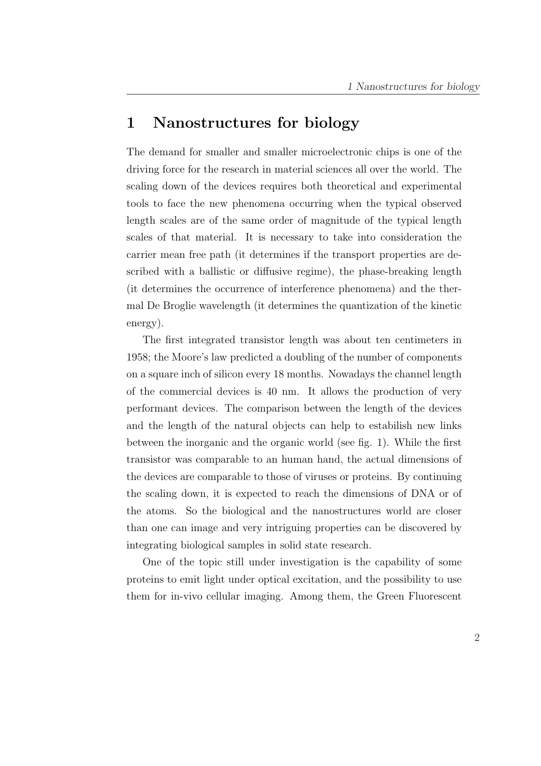## 1 Nanostructures for biology

The demand for smaller and smaller microelectronic chips is one of the driving force for the research in material sciences all over the world. The scaling down of the devices requires both theoretical and experimental tools to face the new phenomena occurring when the typical observed length scales are of the same order of magnitude of the typical length scales of that material. It is necessary to take into consideration the carrier mean free path (it determines if the transport properties are described with a ballistic or diffusive regime), the phase-breaking length (it determines the occurrence of interference phenomena) and the thermal De Broglie wavelength (it determines the quantization of the kinetic energy).

The first integrated transistor length was about ten centimeters in 1958; the Moore's law predicted a doubling of the number of components on a square inch of silicon every 18 months. Nowadays the channel length of the commercial devices is 40 nm. It allows the production of very performant devices. The comparison between the length of the devices and the length of the natural objects can help to estabilish new links between the inorganic and the organic world (see fig. 1). While the first transistor was comparable to an human hand, the actual dimensions of the devices are comparable to those of viruses or proteins. By continuing the scaling down, it is expected to reach the dimensions of DNA or of the atoms. So the biological and the nanostructures world are closer than one can image and very intriguing properties can be discovered by integrating biological samples in solid state research.

One of the topic still under investigation is the capability of some proteins to emit light under optical excitation, and the possibility to use them for in-vivo cellular imaging. Among them, the Green Fluorescent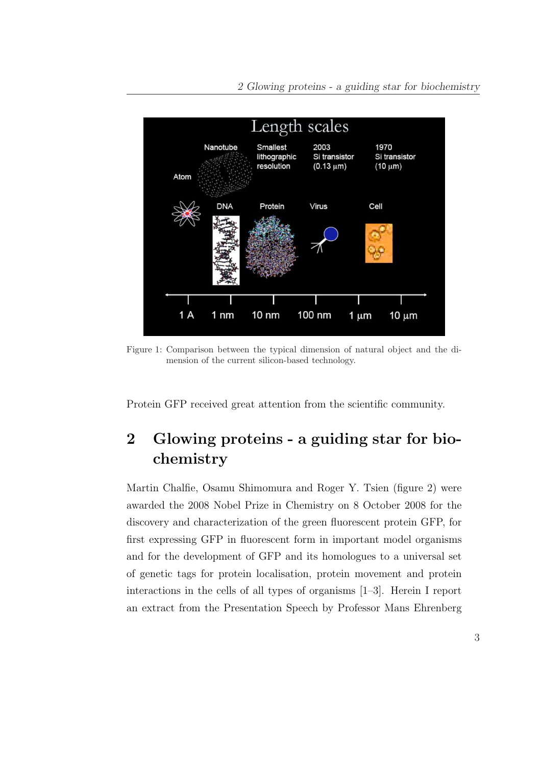

Figure 1: Comparison between the typical dimension of natural object and the dimension of the current silicon-based technology.

Protein GFP received great attention from the scientific community.

# 2 Glowing proteins - a guiding star for biochemistry

Martin Chalfie, Osamu Shimomura and Roger Y. Tsien (figure 2) were awarded the 2008 Nobel Prize in Chemistry on 8 October 2008 for the discovery and characterization of the green fluorescent protein GFP, for first expressing GFP in fluorescent form in important model organisms and for the development of GFP and its homologues to a universal set of genetic tags for protein localisation, protein movement and protein interactions in the cells of all types of organisms [1–3]. Herein I report an extract from the Presentation Speech by Professor Mans Ehrenberg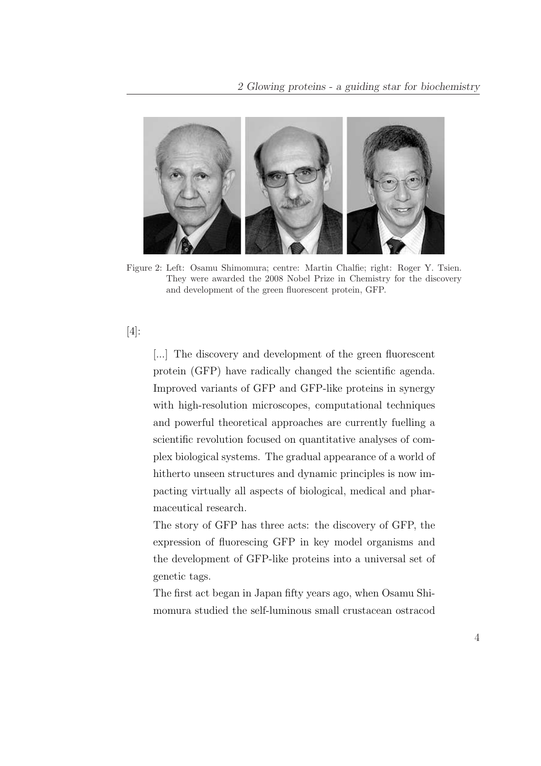

Figure 2: Left: Osamu Shimomura; centre: Martin Chalfie; right: Roger Y. Tsien. They were awarded the 2008 Nobel Prize in Chemistry for the discovery and development of the green fluorescent protein, GFP.

#### [4]:

[...] The discovery and development of the green fluorescent protein (GFP) have radically changed the scientific agenda. Improved variants of GFP and GFP-like proteins in synergy with high-resolution microscopes, computational techniques and powerful theoretical approaches are currently fuelling a scientific revolution focused on quantitative analyses of complex biological systems. The gradual appearance of a world of hitherto unseen structures and dynamic principles is now impacting virtually all aspects of biological, medical and pharmaceutical research.

The story of GFP has three acts: the discovery of GFP, the expression of fluorescing GFP in key model organisms and the development of GFP-like proteins into a universal set of genetic tags.

The first act began in Japan fifty years ago, when Osamu Shimomura studied the self-luminous small crustacean ostracod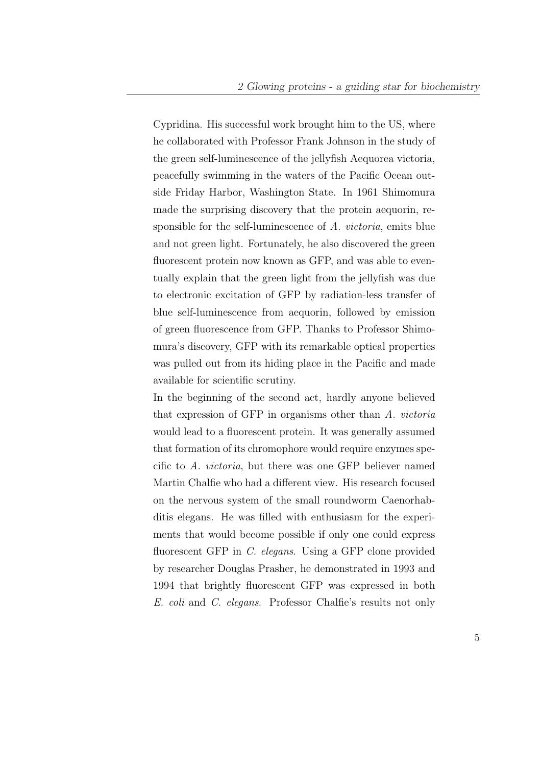Cypridina. His successful work brought him to the US, where he collaborated with Professor Frank Johnson in the study of the green self-luminescence of the jellyfish Aequorea victoria, peacefully swimming in the waters of the Pacific Ocean outside Friday Harbor, Washington State. In 1961 Shimomura made the surprising discovery that the protein aequorin, responsible for the self-luminescence of A. victoria, emits blue and not green light. Fortunately, he also discovered the green fluorescent protein now known as GFP, and was able to eventually explain that the green light from the jellyfish was due to electronic excitation of GFP by radiation-less transfer of blue self-luminescence from aequorin, followed by emission of green fluorescence from GFP. Thanks to Professor Shimomura's discovery, GFP with its remarkable optical properties was pulled out from its hiding place in the Pacific and made available for scientific scrutiny.

In the beginning of the second act, hardly anyone believed that expression of GFP in organisms other than A. victoria would lead to a fluorescent protein. It was generally assumed that formation of its chromophore would require enzymes specific to A. victoria, but there was one GFP believer named Martin Chalfie who had a different view. His research focused on the nervous system of the small roundworm Caenorhabditis elegans. He was filled with enthusiasm for the experiments that would become possible if only one could express fluorescent GFP in C. elegans. Using a GFP clone provided by researcher Douglas Prasher, he demonstrated in 1993 and 1994 that brightly fluorescent GFP was expressed in both E. coli and C. elegans. Professor Chalfie's results not only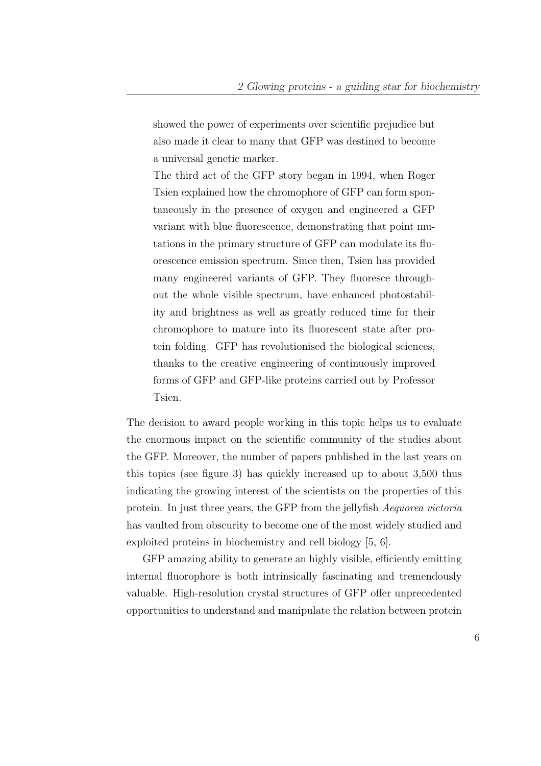showed the power of experiments over scientific prejudice but also made it clear to many that GFP was destined to become a universal genetic marker.

The third act of the GFP story began in 1994, when Roger Tsien explained how the chromophore of GFP can form spontaneously in the presence of oxygen and engineered a GFP variant with blue fluorescence, demonstrating that point mutations in the primary structure of GFP can modulate its fluorescence emission spectrum. Since then, Tsien has provided many engineered variants of GFP. They fluoresce throughout the whole visible spectrum, have enhanced photostability and brightness as well as greatly reduced time for their chromophore to mature into its fluorescent state after protein folding. GFP has revolutionised the biological sciences, thanks to the creative engineering of continuously improved forms of GFP and GFP-like proteins carried out by Professor Tsien.

The decision to award people working in this topic helps us to evaluate the enormous impact on the scientific community of the studies about the GFP. Moreover, the number of papers published in the last years on this topics (see figure 3) has quickly increased up to about 3,500 thus indicating the growing interest of the scientists on the properties of this protein. In just three years, the GFP from the jellyfish Aequorea victoria has vaulted from obscurity to become one of the most widely studied and exploited proteins in biochemistry and cell biology [5, 6].

GFP amazing ability to generate an highly visible, efficiently emitting internal fluorophore is both intrinsically fascinating and tremendously valuable. High-resolution crystal structures of GFP offer unprecedented opportunities to understand and manipulate the relation between protein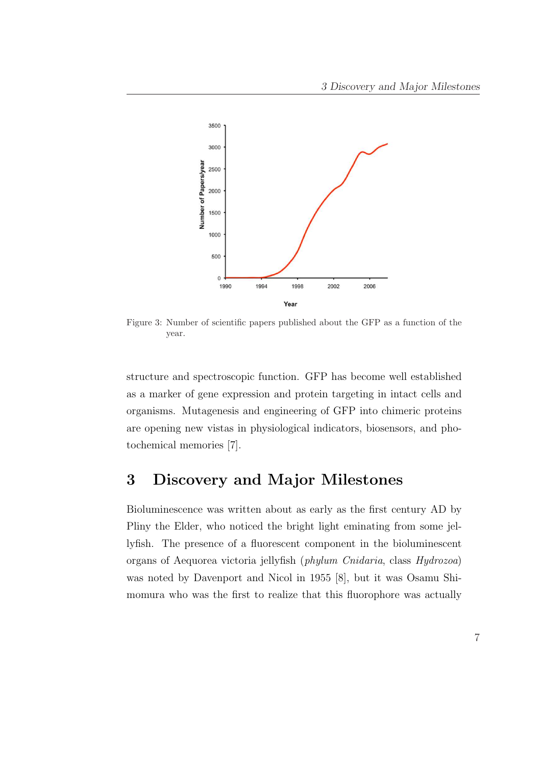

Figure 3: Number of scientific papers published about the GFP as a function of the year.

structure and spectroscopic function. GFP has become well established as a marker of gene expression and protein targeting in intact cells and organisms. Mutagenesis and engineering of GFP into chimeric proteins are opening new vistas in physiological indicators, biosensors, and photochemical memories [7].

## 3 Discovery and Major Milestones

Bioluminescence was written about as early as the first century AD by Pliny the Elder, who noticed the bright light eminating from some jellyfish. The presence of a fluorescent component in the bioluminescent organs of Aequorea victoria jellyfish (phylum Cnidaria, class Hydrozoa) was noted by Davenport and Nicol in 1955 [8], but it was Osamu Shimomura who was the first to realize that this fluorophore was actually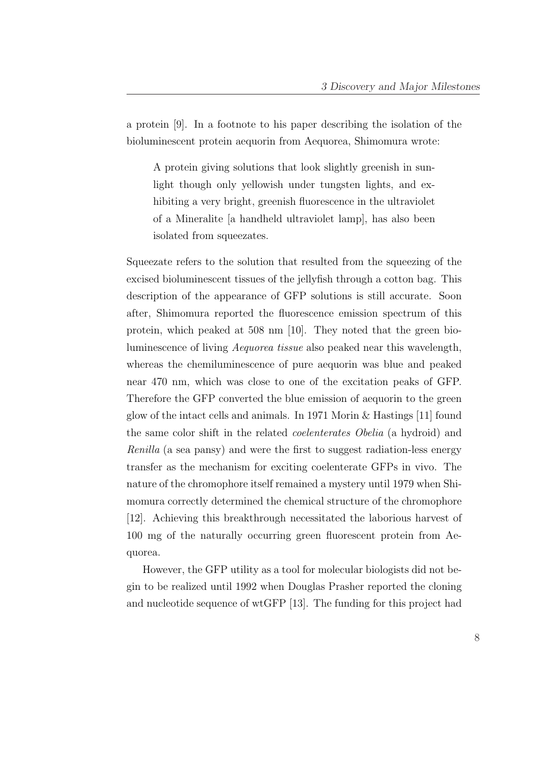a protein [9]. In a footnote to his paper describing the isolation of the bioluminescent protein aequorin from Aequorea, Shimomura wrote:

A protein giving solutions that look slightly greenish in sunlight though only yellowish under tungsten lights, and exhibiting a very bright, greenish fluorescence in the ultraviolet of a Mineralite [a handheld ultraviolet lamp], has also been isolated from squeezates.

Squeezate refers to the solution that resulted from the squeezing of the excised bioluminescent tissues of the jellyfish through a cotton bag. This description of the appearance of GFP solutions is still accurate. Soon after, Shimomura reported the fluorescence emission spectrum of this protein, which peaked at 508 nm [10]. They noted that the green bioluminescence of living Aequorea tissue also peaked near this wavelength, whereas the chemiluminescence of pure aequorin was blue and peaked near 470 nm, which was close to one of the excitation peaks of GFP. Therefore the GFP converted the blue emission of aequorin to the green glow of the intact cells and animals. In 1971 Morin & Hastings [11] found the same color shift in the related coelenterates Obelia (a hydroid) and Renilla (a sea pansy) and were the first to suggest radiation-less energy transfer as the mechanism for exciting coelenterate GFPs in vivo. The nature of the chromophore itself remained a mystery until 1979 when Shimomura correctly determined the chemical structure of the chromophore [12]. Achieving this breakthrough necessitated the laborious harvest of 100 mg of the naturally occurring green fluorescent protein from Aequorea.

However, the GFP utility as a tool for molecular biologists did not begin to be realized until 1992 when Douglas Prasher reported the cloning and nucleotide sequence of wtGFP [13]. The funding for this project had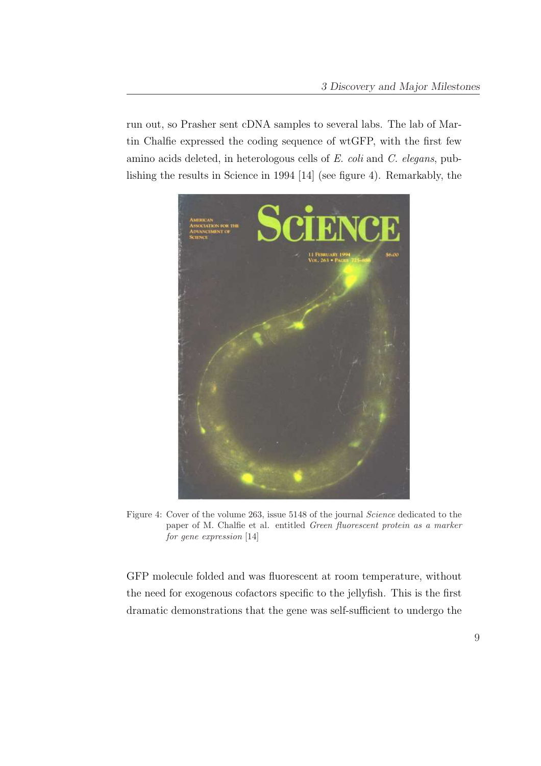run out, so Prasher sent cDNA samples to several labs. The lab of Martin Chalfie expressed the coding sequence of wtGFP, with the first few amino acids deleted, in heterologous cells of E. coli and C. elegans, publishing the results in Science in 1994 [14] (see figure 4). Remarkably, the



Figure 4: Cover of the volume 263, issue 5148 of the journal Science dedicated to the paper of M. Chalfie et al. entitled Green fluorescent protein as a marker for gene expression [14]

GFP molecule folded and was fluorescent at room temperature, without the need for exogenous cofactors specific to the jellyfish. This is the first dramatic demonstrations that the gene was self-sufficient to undergo the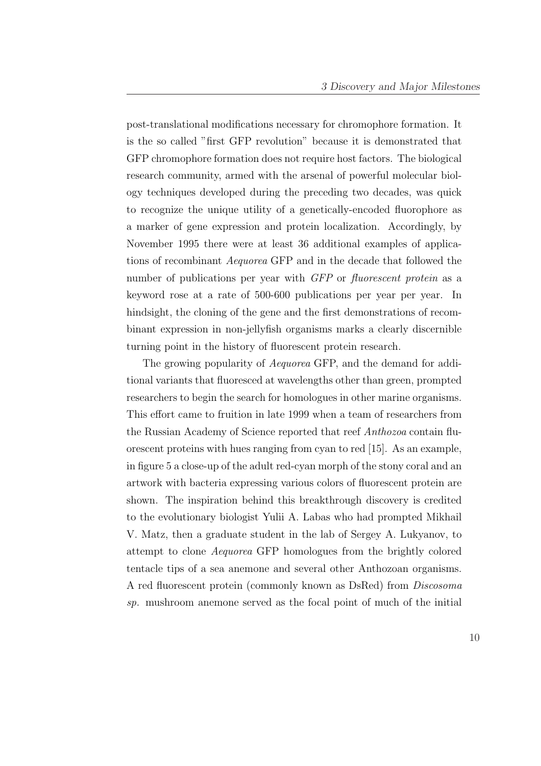post-translational modifications necessary for chromophore formation. It is the so called "first GFP revolution" because it is demonstrated that GFP chromophore formation does not require host factors. The biological research community, armed with the arsenal of powerful molecular biology techniques developed during the preceding two decades, was quick to recognize the unique utility of a genetically-encoded fluorophore as a marker of gene expression and protein localization. Accordingly, by November 1995 there were at least 36 additional examples of applications of recombinant Aequorea GFP and in the decade that followed the number of publications per year with GFP or fluorescent protein as a keyword rose at a rate of 500-600 publications per year per year. In hindsight, the cloning of the gene and the first demonstrations of recombinant expression in non-jellyfish organisms marks a clearly discernible turning point in the history of fluorescent protein research.

The growing popularity of *Aequorea* GFP, and the demand for additional variants that fluoresced at wavelengths other than green, prompted researchers to begin the search for homologues in other marine organisms. This effort came to fruition in late 1999 when a team of researchers from the Russian Academy of Science reported that reef Anthozoa contain fluorescent proteins with hues ranging from cyan to red [15]. As an example, in figure 5 a close-up of the adult red-cyan morph of the stony coral and an artwork with bacteria expressing various colors of fluorescent protein are shown. The inspiration behind this breakthrough discovery is credited to the evolutionary biologist Yulii A. Labas who had prompted Mikhail V. Matz, then a graduate student in the lab of Sergey A. Lukyanov, to attempt to clone Aequorea GFP homologues from the brightly colored tentacle tips of a sea anemone and several other Anthozoan organisms. A red fluorescent protein (commonly known as DsRed) from Discosoma sp. mushroom anemone served as the focal point of much of the initial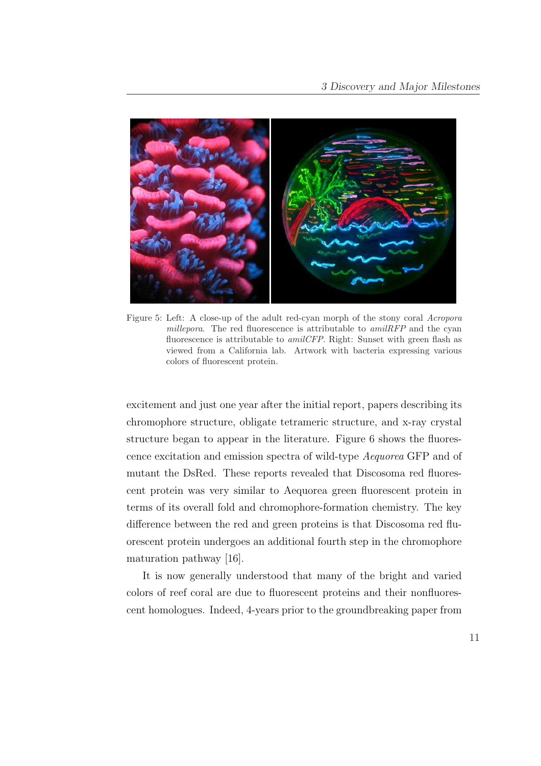

Figure 5: Left: A close-up of the adult red-cyan morph of the stony coral Acropora millepora. The red fluorescence is attributable to  $amilRFP$  and the cyan fluorescence is attributable to amilCFP. Right: Sunset with green flash as viewed from a California lab. Artwork with bacteria expressing various colors of fluorescent protein.

excitement and just one year after the initial report, papers describing its chromophore structure, obligate tetrameric structure, and x-ray crystal structure began to appear in the literature. Figure 6 shows the fluorescence excitation and emission spectra of wild-type Aequorea GFP and of mutant the DsRed. These reports revealed that Discosoma red fluorescent protein was very similar to Aequorea green fluorescent protein in terms of its overall fold and chromophore-formation chemistry. The key difference between the red and green proteins is that Discosoma red fluorescent protein undergoes an additional fourth step in the chromophore maturation pathway [16].

It is now generally understood that many of the bright and varied colors of reef coral are due to fluorescent proteins and their nonfluorescent homologues. Indeed, 4-years prior to the groundbreaking paper from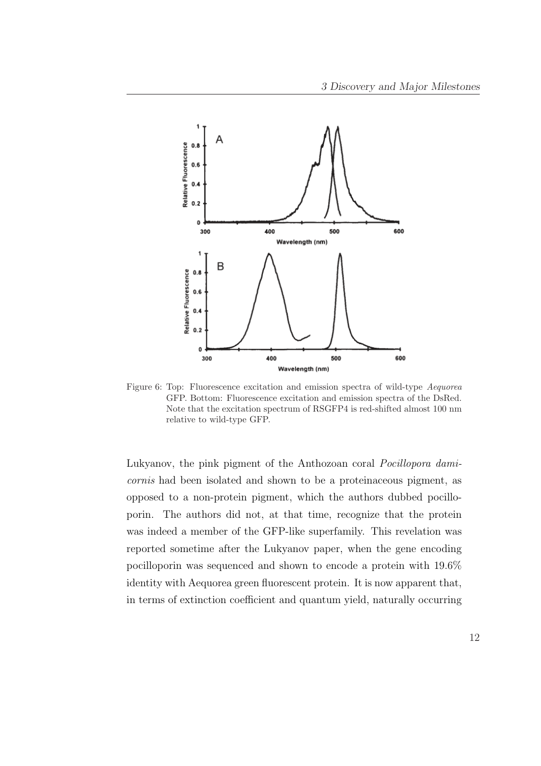

Figure 6: Top: Fluorescence excitation and emission spectra of wild-type *Aequorea* GFP. Bottom: Fluorescence excitation and emission spectra of the DsRed. Note that the excitation spectrum of RSGFP4 is red-shifted almost 100 nm relative to wild-type GFP.

Lukyanov, the pink pigment of the Anthozoan coral Pocillopora damicornis had been isolated and shown to be a proteinaceous pigment, as opposed to a non-protein pigment, which the authors dubbed pocilloporin. The authors did not, at that time, recognize that the protein was indeed a member of the GFP-like superfamily. This revelation was reported sometime after the Lukyanov paper, when the gene encoding pocilloporin was sequenced and shown to encode a protein with 19.6% identity with Aequorea green fluorescent protein. It is now apparent that, in terms of extinction coefficient and quantum yield, naturally occurring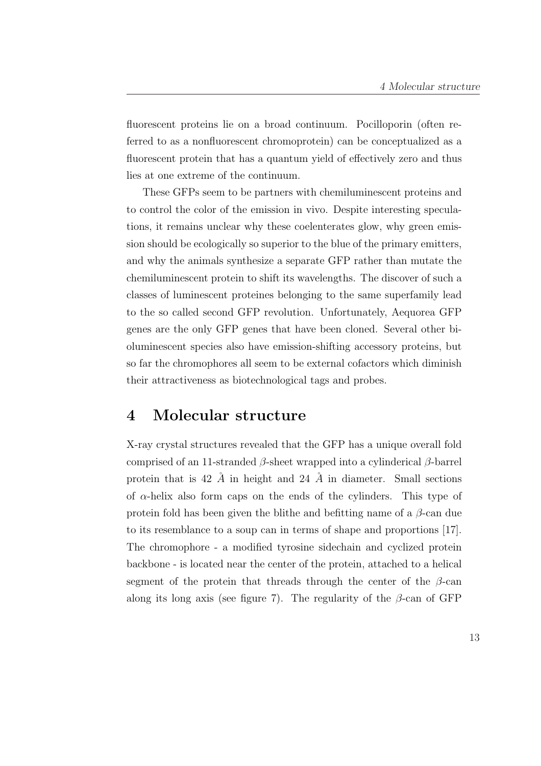fluorescent proteins lie on a broad continuum. Pocilloporin (often referred to as a nonfluorescent chromoprotein) can be conceptualized as a fluorescent protein that has a quantum yield of effectively zero and thus lies at one extreme of the continuum.

These GFPs seem to be partners with chemiluminescent proteins and to control the color of the emission in vivo. Despite interesting speculations, it remains unclear why these coelenterates glow, why green emission should be ecologically so superior to the blue of the primary emitters, and why the animals synthesize a separate GFP rather than mutate the chemiluminescent protein to shift its wavelengths. The discover of such a classes of luminescent proteines belonging to the same superfamily lead to the so called second GFP revolution. Unfortunately, Aequorea GFP genes are the only GFP genes that have been cloned. Several other bioluminescent species also have emission-shifting accessory proteins, but so far the chromophores all seem to be external cofactors which diminish their attractiveness as biotechnological tags and probes.

## 4 Molecular structure

X-ray crystal structures revealed that the GFP has a unique overall fold comprised of an 11-stranded β-sheet wrapped into a cylinderical β-barrel protein that is 42  $\AA$  in height and 24  $\AA$  in diameter. Small sections of  $\alpha$ -helix also form caps on the ends of the cylinders. This type of protein fold has been given the blithe and befitting name of a  $\beta$ -can due to its resemblance to a soup can in terms of shape and proportions [17]. The chromophore - a modified tyrosine sidechain and cyclized protein backbone - is located near the center of the protein, attached to a helical segment of the protein that threads through the center of the  $\beta$ -can along its long axis (see figure 7). The regularity of the  $\beta$ -can of GFP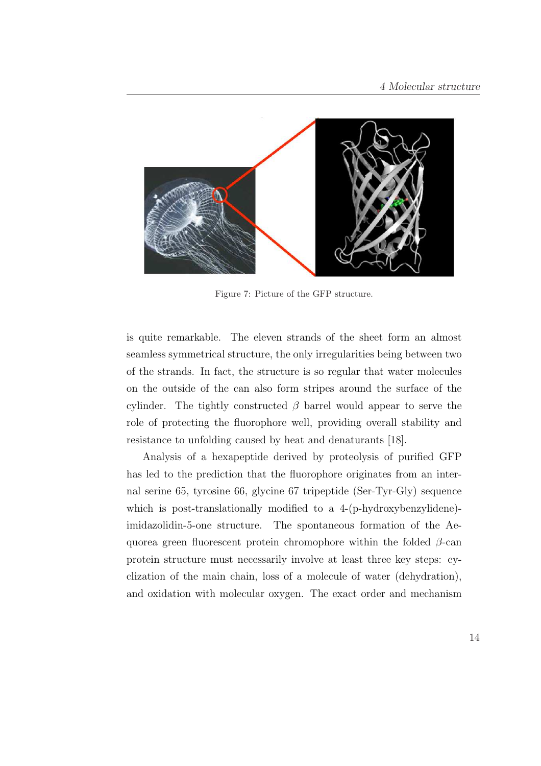

Figure 7: Picture of the GFP structure.

is quite remarkable. The eleven strands of the sheet form an almost seamless symmetrical structure, the only irregularities being between two of the strands. In fact, the structure is so regular that water molecules on the outside of the can also form stripes around the surface of the cylinder. The tightly constructed  $\beta$  barrel would appear to serve the role of protecting the fluorophore well, providing overall stability and resistance to unfolding caused by heat and denaturants [18].

Analysis of a hexapeptide derived by proteolysis of purified GFP has led to the prediction that the fluorophore originates from an internal serine 65, tyrosine 66, glycine 67 tripeptide (Ser-Tyr-Gly) sequence which is post-translationally modified to a 4-(p-hydroxybenzylidene)imidazolidin-5-one structure. The spontaneous formation of the Aequorea green fluorescent protein chromophore within the folded  $\beta$ -can protein structure must necessarily involve at least three key steps: cyclization of the main chain, loss of a molecule of water (dehydration), and oxidation with molecular oxygen. The exact order and mechanism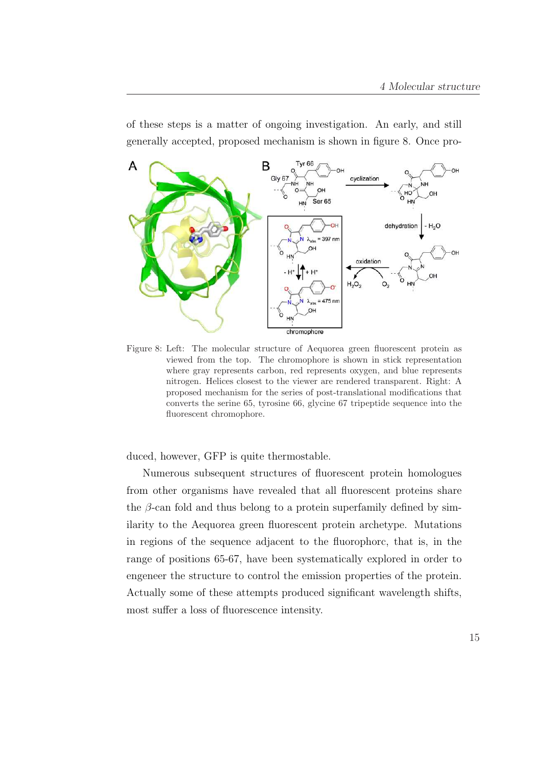of these steps is a matter of ongoing investigation. An early, and still generally accepted, proposed mechanism is shown in figure 8. Once pro-



Figure 8: Left: The molecular structure of Aequorea green fluorescent protein as viewed from the top. The chromophore is shown in stick representation where gray represents carbon, red represents oxygen, and blue represents nitrogen. Helices closest to the viewer are rendered transparent. Right: A proposed mechanism for the series of post-translational modifications that converts the serine 65, tyrosine 66, glycine 67 tripeptide sequence into the fluorescent chromophore.

duced, however, GFP is quite thermostable.

Numerous subsequent structures of fluorescent protein homologues from other organisms have revealed that all fluorescent proteins share the  $\beta$ -can fold and thus belong to a protein superfamily defined by similarity to the Aequorea green fluorescent protein archetype. Mutations in regions of the sequence adjacent to the fluorophorc, that is, in the range of positions 65-67, have been systematically explored in order to engeneer the structure to control the emission properties of the protein. Actually some of these attempts produced significant wavelength shifts, most suffer a loss of fluorescence intensity.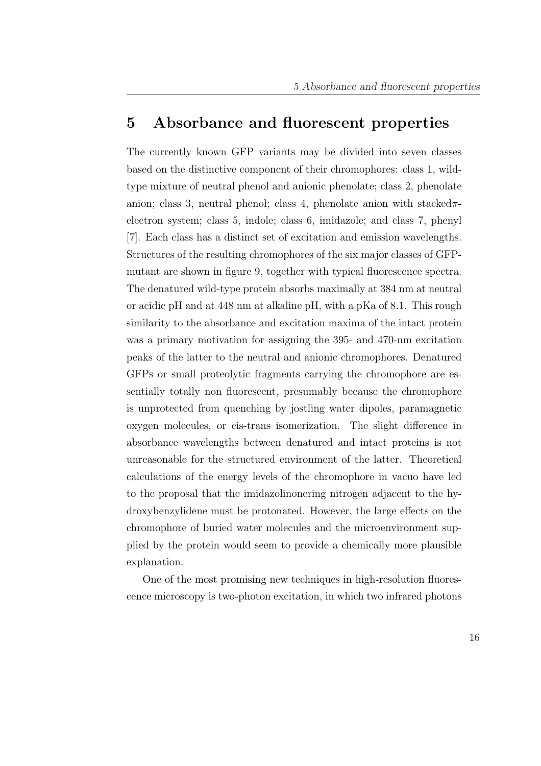#### 5 Absorbance and fluorescent properties

The currently known GFP variants may be divided into seven classes based on the distinctive component of their chromophores: class 1, wildtype mixture of neutral phenol and anionic phenolate; class 2, phenolate anion; class 3, neutral phenol; class 4, phenolate anion with stacked $\pi$ electron system; class 5, indole; class 6, imidazole; and class 7, phenyl [7]. Each class has a distinct set of excitation and emission wavelengths. Structures of the resulting chromophores of the six major classes of GFPmutant are shown in figure 9, together with typical fluorescence spectra. The denatured wild-type protein absorbs maximally at 384 nm at neutral or acidic pH and at 448 nm at alkaline pH, with a pKa of 8.1. This rough similarity to the absorbance and excitation maxima of the intact protein was a primary motivation for assigning the 395- and 470-nm excitation peaks of the latter to the neutral and anionic chromophores. Denatured GFPs or small proteolytic fragments carrying the chromophore are essentially totally non fluorescent, presumably because the chromophore is unprotected from quenching by jostling water dipoles, paramagnetic oxygen molecules, or cis-trans isomerization. The slight difference in absorbance wavelengths between denatured and intact proteins is not unreasonable for the structured environment of the latter. Theoretical calculations of the energy levels of the chromophore in vacuo have led to the proposal that the imidazolinonering nitrogen adjacent to the hydroxybenzylidene must be protonated. However, the large effects on the chromophore of buried water molecules and the microenvironment supplied by the protein would seem to provide a chemically more plausible explanation.

One of the most promising new techniques in high-resolution fluorescence microscopy is two-photon excitation, in which two infrared photons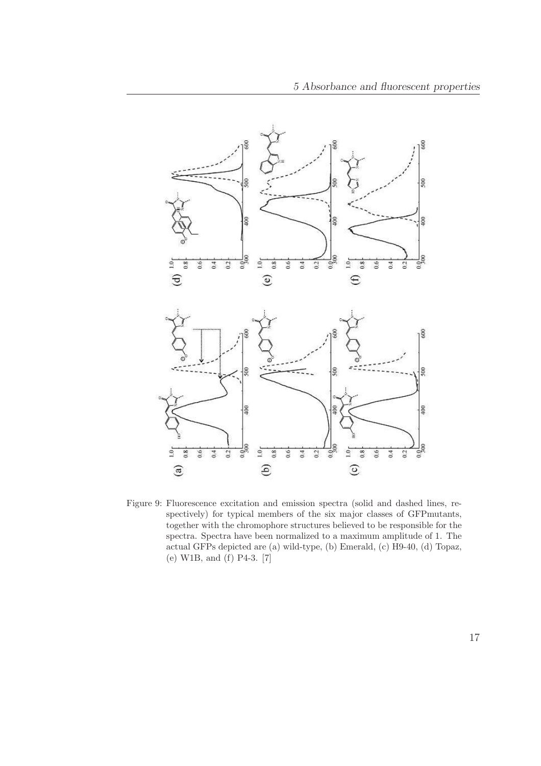

Figure 9: Fluorescence excitation and emission spectra (solid and dashed lines, respectively) for typical members of the six major classes of GFPmutants, together with the chromophore structures believed to be responsible for the spectra. Spectra have been normalized to a maximum amplitude of 1. The actual GFPs depicted are (a) wild-type, (b) Emerald, (c) H9-40, (d) Topaz, (e) W1B, and (f) P4-3. [7]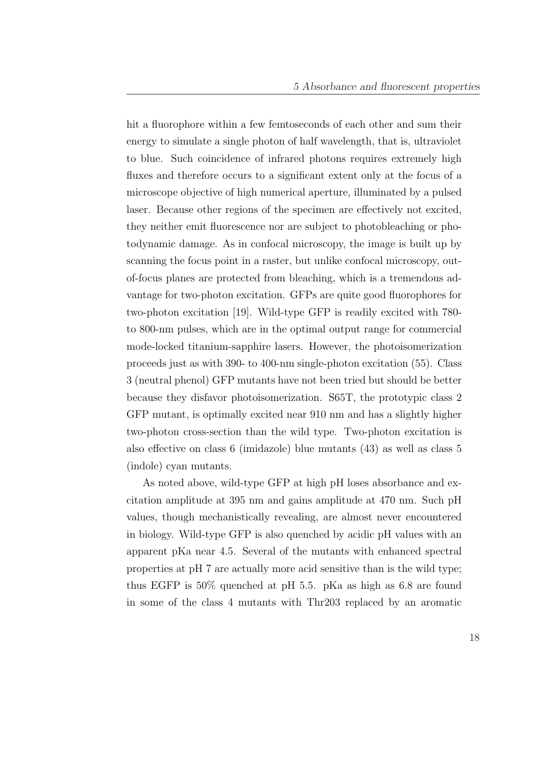hit a fluorophore within a few femtoseconds of each other and sum their energy to simulate a single photon of half wavelength, that is, ultraviolet to blue. Such coincidence of infrared photons requires extremely high fluxes and therefore occurs to a significant extent only at the focus of a microscope objective of high numerical aperture, illuminated by a pulsed laser. Because other regions of the specimen are effectively not excited, they neither emit fluorescence nor are subject to photobleaching or photodynamic damage. As in confocal microscopy, the image is built up by scanning the focus point in a raster, but unlike confocal microscopy, outof-focus planes are protected from bleaching, which is a tremendous advantage for two-photon excitation. GFPs are quite good fluorophores for two-photon excitation [19]. Wild-type GFP is readily excited with 780 to 800-nm pulses, which are in the optimal output range for commercial mode-locked titanium-sapphire lasers. However, the photoisomerization proceeds just as with 390- to 400-nm single-photon excitation (55). Class 3 (neutral phenol) GFP mutants have not been tried but should be better because they disfavor photoisomerization. S65T, the prototypic class 2 GFP mutant, is optimally excited near 910 nm and has a slightly higher two-photon cross-section than the wild type. Two-photon excitation is also effective on class 6 (imidazole) blue mutants (43) as well as class 5 (indole) cyan mutants.

As noted above, wild-type GFP at high pH loses absorbance and excitation amplitude at 395 nm and gains amplitude at 470 nm. Such pH values, though mechanistically revealing, are almost never encountered in biology. Wild-type GFP is also quenched by acidic pH values with an apparent pKa near 4.5. Several of the mutants with enhanced spectral properties at pH 7 are actually more acid sensitive than is the wild type; thus EGFP is 50% quenched at pH 5.5. pKa as high as 6.8 are found in some of the class 4 mutants with Thr203 replaced by an aromatic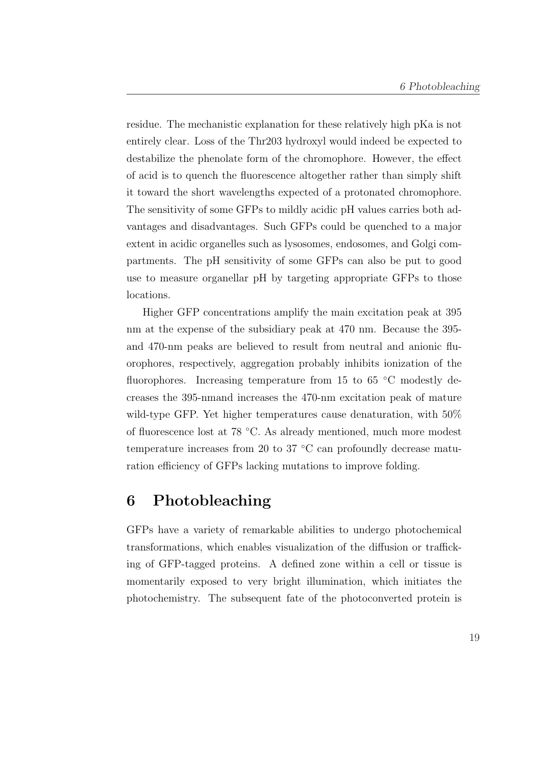residue. The mechanistic explanation for these relatively high pKa is not entirely clear. Loss of the Thr203 hydroxyl would indeed be expected to destabilize the phenolate form of the chromophore. However, the effect of acid is to quench the fluorescence altogether rather than simply shift it toward the short wavelengths expected of a protonated chromophore. The sensitivity of some GFPs to mildly acidic pH values carries both advantages and disadvantages. Such GFPs could be quenched to a major extent in acidic organelles such as lysosomes, endosomes, and Golgi compartments. The pH sensitivity of some GFPs can also be put to good use to measure organellar pH by targeting appropriate GFPs to those locations.

Higher GFP concentrations amplify the main excitation peak at 395 nm at the expense of the subsidiary peak at 470 nm. Because the 395 and 470-nm peaks are believed to result from neutral and anionic fluorophores, respectively, aggregation probably inhibits ionization of the fluorophores. Increasing temperature from 15 to 65 °C modestly decreases the 395-nmand increases the 470-nm excitation peak of mature wild-type GFP. Yet higher temperatures cause denaturation, with 50% of fluorescence lost at 78 ◦C. As already mentioned, much more modest temperature increases from 20 to 37 ◦C can profoundly decrease maturation efficiency of GFPs lacking mutations to improve folding.

## 6 Photobleaching

GFPs have a variety of remarkable abilities to undergo photochemical transformations, which enables visualization of the diffusion or trafficking of GFP-tagged proteins. A defined zone within a cell or tissue is momentarily exposed to very bright illumination, which initiates the photochemistry. The subsequent fate of the photoconverted protein is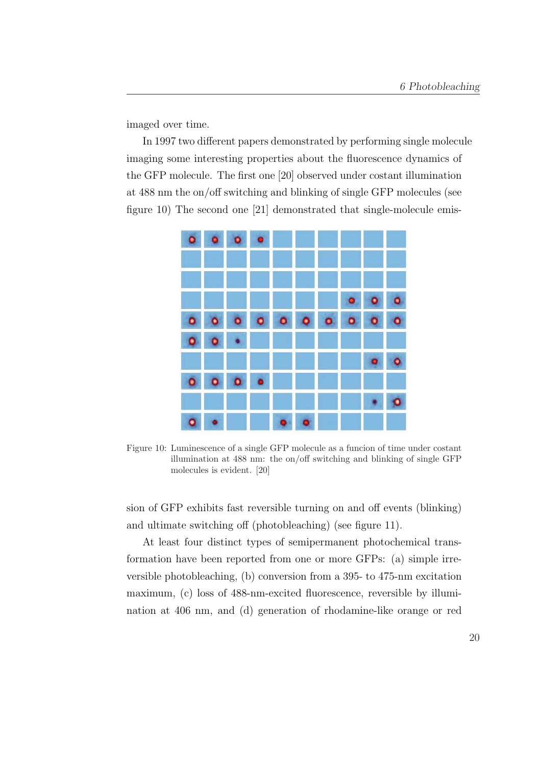imaged over time.

In 1997 two different papers demonstrated by performing single molecule imaging some interesting properties about the fluorescence dynamics of the GFP molecule. The first one [20] observed under costant illumination at 488 nm the on/off switching and blinking of single GFP molecules (see figure 10) The second one [21] demonstrated that single-molecule emis-



Figure 10: Luminescence of a single GFP molecule as a funcion of time under costant illumination at 488 nm: the on/off switching and blinking of single GFP molecules is evident. [20]

sion of GFP exhibits fast reversible turning on and off events (blinking) and ultimate switching off (photobleaching) (see figure 11).

At least four distinct types of semipermanent photochemical transformation have been reported from one or more GFPs: (a) simple irreversible photobleaching, (b) conversion from a 395- to 475-nm excitation maximum, (c) loss of 488-nm-excited fluorescence, reversible by illumination at 406 nm, and (d) generation of rhodamine-like orange or red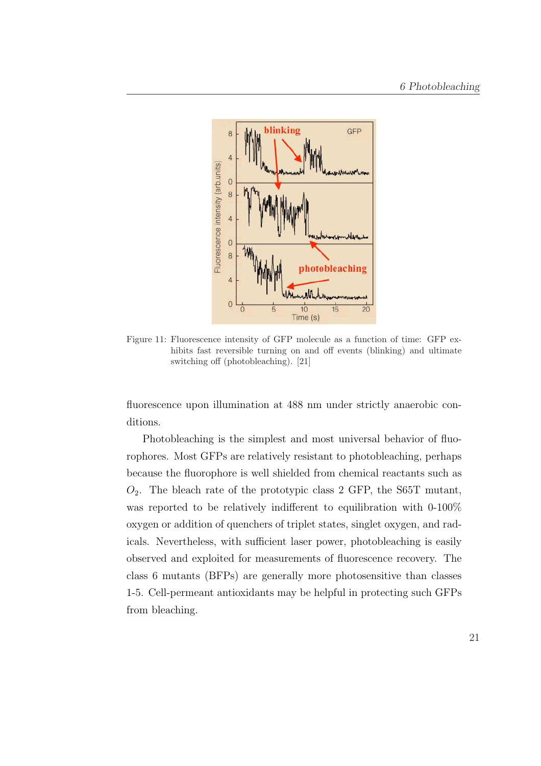

Figure 11: Fluorescence intensity of GFP molecule as a function of time: GFP exhibits fast reversible turning on and off events (blinking) and ultimate switching off (photobleaching). [21]

fluorescence upon illumination at 488 nm under strictly anaerobic conditions.

Photobleaching is the simplest and most universal behavior of fluorophores. Most GFPs are relatively resistant to photobleaching, perhaps because the fluorophore is well shielded from chemical reactants such as  $O_2$ . The bleach rate of the prototypic class 2 GFP, the S65T mutant, was reported to be relatively indifferent to equilibration with 0-100% oxygen or addition of quenchers of triplet states, singlet oxygen, and radicals. Nevertheless, with sufficient laser power, photobleaching is easily observed and exploited for measurements of fluorescence recovery. The class 6 mutants (BFPs) are generally more photosensitive than classes 1-5. Cell-permeant antioxidants may be helpful in protecting such GFPs from bleaching.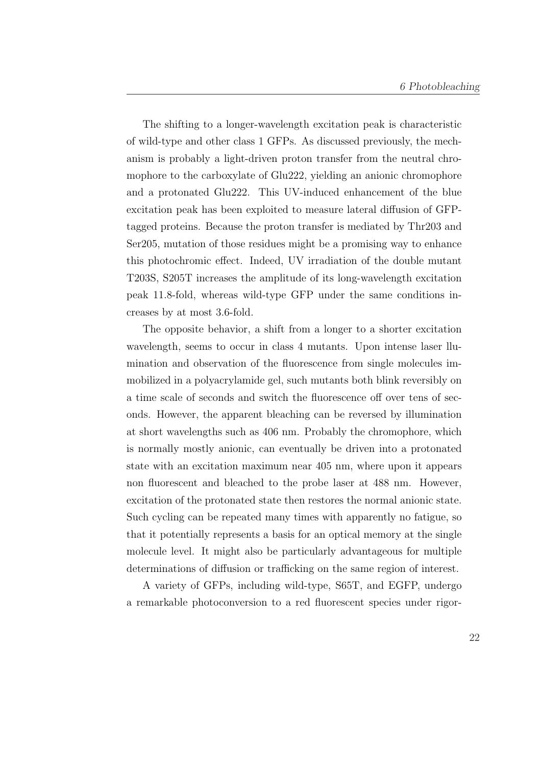The shifting to a longer-wavelength excitation peak is characteristic of wild-type and other class 1 GFPs. As discussed previously, the mechanism is probably a light-driven proton transfer from the neutral chromophore to the carboxylate of Glu222, yielding an anionic chromophore and a protonated Glu222. This UV-induced enhancement of the blue excitation peak has been exploited to measure lateral diffusion of GFPtagged proteins. Because the proton transfer is mediated by Thr203 and Ser205, mutation of those residues might be a promising way to enhance this photochromic effect. Indeed, UV irradiation of the double mutant T203S, S205T increases the amplitude of its long-wavelength excitation peak 11.8-fold, whereas wild-type GFP under the same conditions increases by at most 3.6-fold.

The opposite behavior, a shift from a longer to a shorter excitation wavelength, seems to occur in class 4 mutants. Upon intense laser llumination and observation of the fluorescence from single molecules immobilized in a polyacrylamide gel, such mutants both blink reversibly on a time scale of seconds and switch the fluorescence off over tens of seconds. However, the apparent bleaching can be reversed by illumination at short wavelengths such as 406 nm. Probably the chromophore, which is normally mostly anionic, can eventually be driven into a protonated state with an excitation maximum near 405 nm, where upon it appears non fluorescent and bleached to the probe laser at 488 nm. However, excitation of the protonated state then restores the normal anionic state. Such cycling can be repeated many times with apparently no fatigue, so that it potentially represents a basis for an optical memory at the single molecule level. It might also be particularly advantageous for multiple determinations of diffusion or trafficking on the same region of interest.

A variety of GFPs, including wild-type, S65T, and EGFP, undergo a remarkable photoconversion to a red fluorescent species under rigor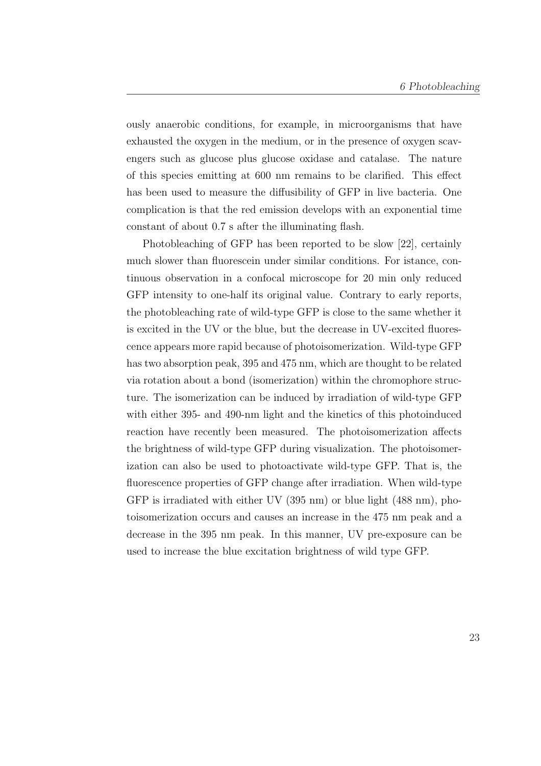ously anaerobic conditions, for example, in microorganisms that have exhausted the oxygen in the medium, or in the presence of oxygen scavengers such as glucose plus glucose oxidase and catalase. The nature of this species emitting at 600 nm remains to be clarified. This effect has been used to measure the diffusibility of GFP in live bacteria. One complication is that the red emission develops with an exponential time constant of about 0.7 s after the illuminating flash.

Photobleaching of GFP has been reported to be slow [22], certainly much slower than fluorescein under similar conditions. For istance, continuous observation in a confocal microscope for 20 min only reduced GFP intensity to one-half its original value. Contrary to early reports, the photobleaching rate of wild-type GFP is close to the same whether it is excited in the UV or the blue, but the decrease in UV-excited fluorescence appears more rapid because of photoisomerization. Wild-type GFP has two absorption peak, 395 and 475 nm, which are thought to be related via rotation about a bond (isomerization) within the chromophore structure. The isomerization can be induced by irradiation of wild-type GFP with either 395- and 490-nm light and the kinetics of this photoinduced reaction have recently been measured. The photoisomerization affects the brightness of wild-type GFP during visualization. The photoisomerization can also be used to photoactivate wild-type GFP. That is, the fluorescence properties of GFP change after irradiation. When wild-type GFP is irradiated with either UV (395 nm) or blue light (488 nm), photoisomerization occurs and causes an increase in the 475 nm peak and a decrease in the 395 nm peak. In this manner, UV pre-exposure can be used to increase the blue excitation brightness of wild type GFP.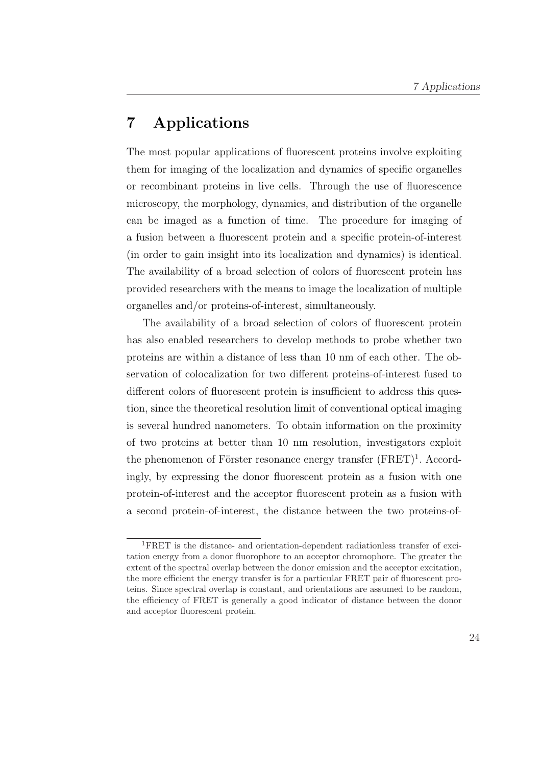## 7 Applications

The most popular applications of fluorescent proteins involve exploiting them for imaging of the localization and dynamics of specific organelles or recombinant proteins in live cells. Through the use of fluorescence microscopy, the morphology, dynamics, and distribution of the organelle can be imaged as a function of time. The procedure for imaging of a fusion between a fluorescent protein and a specific protein-of-interest (in order to gain insight into its localization and dynamics) is identical. The availability of a broad selection of colors of fluorescent protein has provided researchers with the means to image the localization of multiple organelles and/or proteins-of-interest, simultaneously.

The availability of a broad selection of colors of fluorescent protein has also enabled researchers to develop methods to probe whether two proteins are within a distance of less than 10 nm of each other. The observation of colocalization for two different proteins-of-interest fused to different colors of fluorescent protein is insufficient to address this question, since the theoretical resolution limit of conventional optical imaging is several hundred nanometers. To obtain information on the proximity of two proteins at better than 10 nm resolution, investigators exploit the phenomenon of Förster resonance energy transfer  $(FRET)^1$ . Accordingly, by expressing the donor fluorescent protein as a fusion with one protein-of-interest and the acceptor fluorescent protein as a fusion with a second protein-of-interest, the distance between the two proteins-of-

<sup>1</sup>FRET is the distance- and orientation-dependent radiationless transfer of excitation energy from a donor fluorophore to an acceptor chromophore. The greater the extent of the spectral overlap between the donor emission and the acceptor excitation, the more efficient the energy transfer is for a particular FRET pair of fluorescent proteins. Since spectral overlap is constant, and orientations are assumed to be random, the efficiency of FRET is generally a good indicator of distance between the donor and acceptor fluorescent protein.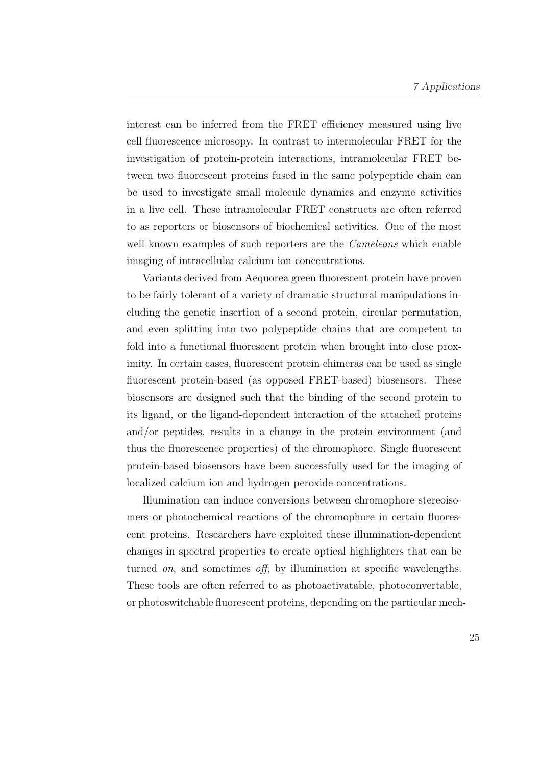interest can be inferred from the FRET efficiency measured using live cell fluorescence microsopy. In contrast to intermolecular FRET for the investigation of protein-protein interactions, intramolecular FRET between two fluorescent proteins fused in the same polypeptide chain can be used to investigate small molecule dynamics and enzyme activities in a live cell. These intramolecular FRET constructs are often referred to as reporters or biosensors of biochemical activities. One of the most well known examples of such reporters are the *Cameleons* which enable imaging of intracellular calcium ion concentrations.

Variants derived from Aequorea green fluorescent protein have proven to be fairly tolerant of a variety of dramatic structural manipulations including the genetic insertion of a second protein, circular permutation, and even splitting into two polypeptide chains that are competent to fold into a functional fluorescent protein when brought into close proximity. In certain cases, fluorescent protein chimeras can be used as single fluorescent protein-based (as opposed FRET-based) biosensors. These biosensors are designed such that the binding of the second protein to its ligand, or the ligand-dependent interaction of the attached proteins and/or peptides, results in a change in the protein environment (and thus the fluorescence properties) of the chromophore. Single fluorescent protein-based biosensors have been successfully used for the imaging of localized calcium ion and hydrogen peroxide concentrations.

Illumination can induce conversions between chromophore stereoisomers or photochemical reactions of the chromophore in certain fluorescent proteins. Researchers have exploited these illumination-dependent changes in spectral properties to create optical highlighters that can be turned *on*, and sometimes *off*, by illumination at specific wavelengths. These tools are often referred to as photoactivatable, photoconvertable, or photoswitchable fluorescent proteins, depending on the particular mech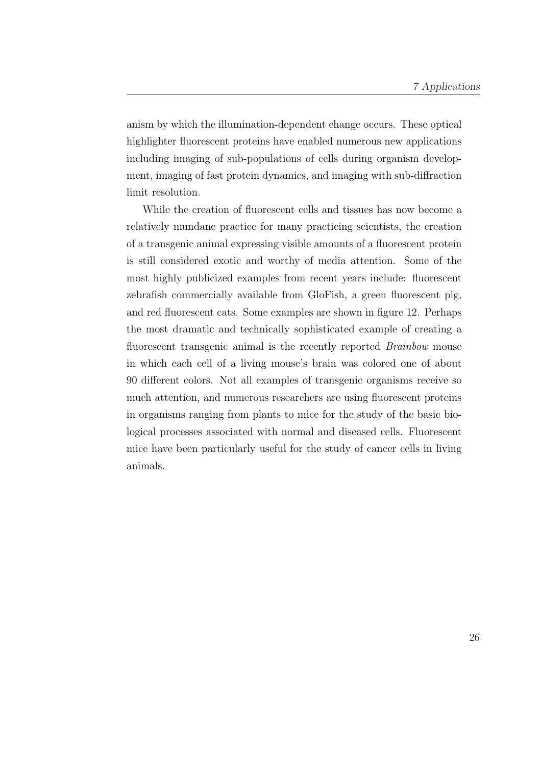anism by which the illumination-dependent change occurs. These optical highlighter fluorescent proteins have enabled numerous new applications including imaging of sub-populations of cells during organism development, imaging of fast protein dynamics, and imaging with sub-diffraction limit resolution.

While the creation of fluorescent cells and tissues has now become a relatively mundane practice for many practicing scientists, the creation of a transgenic animal expressing visible amounts of a fluorescent protein is still considered exotic and worthy of media attention. Some of the most highly publicized examples from recent years include: fluorescent zebrafish commercially available from GloFish, a green fluorescent pig, and red fluorescent cats. Some examples are shown in figure 12. Perhaps the most dramatic and technically sophisticated example of creating a fluorescent transgenic animal is the recently reported *Brainbow* mouse in which each cell of a living mouse's brain was colored one of about 90 different colors. Not all examples of transgenic organisms receive so much attention, and numerous researchers are using fluorescent proteins in organisms ranging from plants to mice for the study of the basic biological processes associated with normal and diseased cells. Fluorescent mice have been particularly useful for the study of cancer cells in living animals.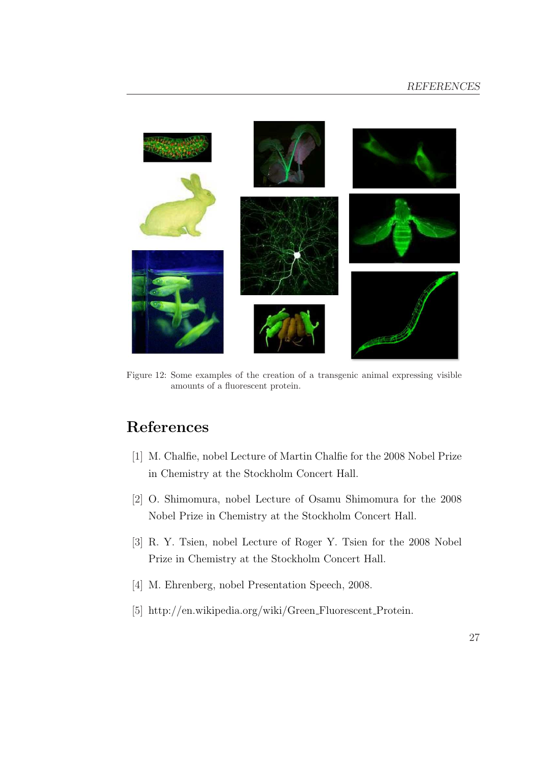

Figure 12: Some examples of the creation of a transgenic animal expressing visible amounts of a fluorescent protein.

# References

- [1] M. Chalfie, nobel Lecture of Martin Chalfie for the 2008 Nobel Prize in Chemistry at the Stockholm Concert Hall.
- [2] O. Shimomura, nobel Lecture of Osamu Shimomura for the 2008 Nobel Prize in Chemistry at the Stockholm Concert Hall.
- [3] R. Y. Tsien, nobel Lecture of Roger Y. Tsien for the 2008 Nobel Prize in Chemistry at the Stockholm Concert Hall.
- [4] M. Ehrenberg, nobel Presentation Speech, 2008.
- [5] http://en.wikipedia.org/wiki/Green Fluorescent Protein.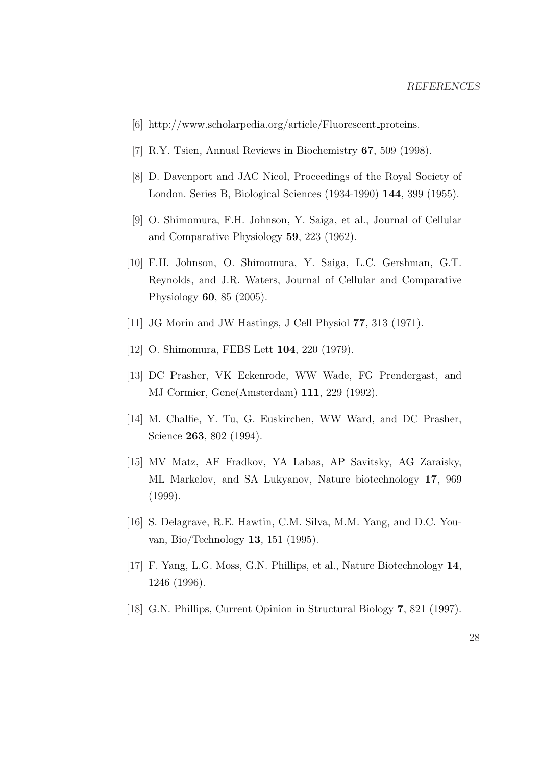- [6] http://www.scholarpedia.org/article/Fluorescent proteins.
- [7] R.Y. Tsien, Annual Reviews in Biochemistry 67, 509 (1998).
- [8] D. Davenport and JAC Nicol, Proceedings of the Royal Society of London. Series B, Biological Sciences (1934-1990) 144, 399 (1955).
- [9] O. Shimomura, F.H. Johnson, Y. Saiga, et al., Journal of Cellular and Comparative Physiology 59, 223 (1962).
- [10] F.H. Johnson, O. Shimomura, Y. Saiga, L.C. Gershman, G.T. Reynolds, and J.R. Waters, Journal of Cellular and Comparative Physiology 60, 85 (2005).
- [11] JG Morin and JW Hastings, J Cell Physiol 77, 313 (1971).
- [12] O. Shimomura, FEBS Lett **104**, 220 (1979).
- [13] DC Prasher, VK Eckenrode, WW Wade, FG Prendergast, and MJ Cormier, Gene(Amsterdam) 111, 229 (1992).
- [14] M. Chalfie, Y. Tu, G. Euskirchen, WW Ward, and DC Prasher, Science 263, 802 (1994).
- [15] MV Matz, AF Fradkov, YA Labas, AP Savitsky, AG Zaraisky, ML Markelov, and SA Lukyanov, Nature biotechnology 17, 969 (1999).
- [16] S. Delagrave, R.E. Hawtin, C.M. Silva, M.M. Yang, and D.C. Youvan, Bio/Technology 13, 151 (1995).
- [17] F. Yang, L.G. Moss, G.N. Phillips, et al., Nature Biotechnology 14, 1246 (1996).
- [18] G.N. Phillips, Current Opinion in Structural Biology 7, 821 (1997).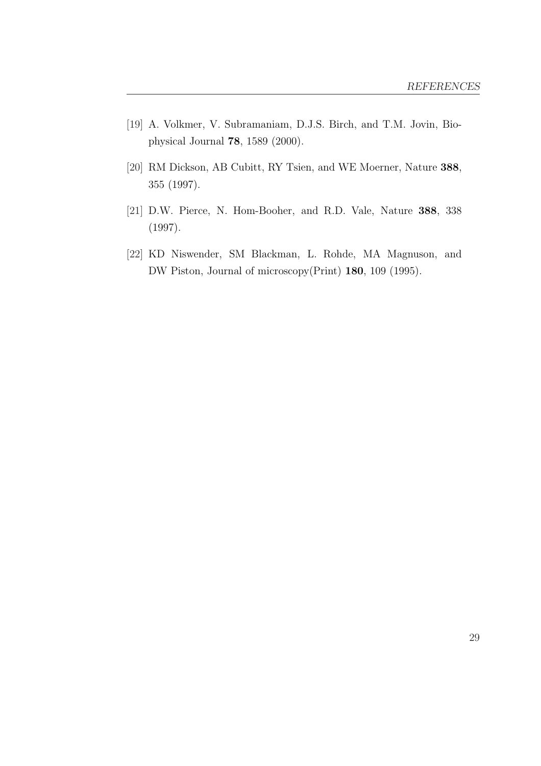- [19] A. Volkmer, V. Subramaniam, D.J.S. Birch, and T.M. Jovin, Biophysical Journal 78, 1589 (2000).
- [20] RM Dickson, AB Cubitt, RY Tsien, and WE Moerner, Nature 388, 355 (1997).
- [21] D.W. Pierce, N. Hom-Booher, and R.D. Vale, Nature 388, 338 (1997).
- [22] KD Niswender, SM Blackman, L. Rohde, MA Magnuson, and DW Piston, Journal of microscopy(Print) 180, 109 (1995).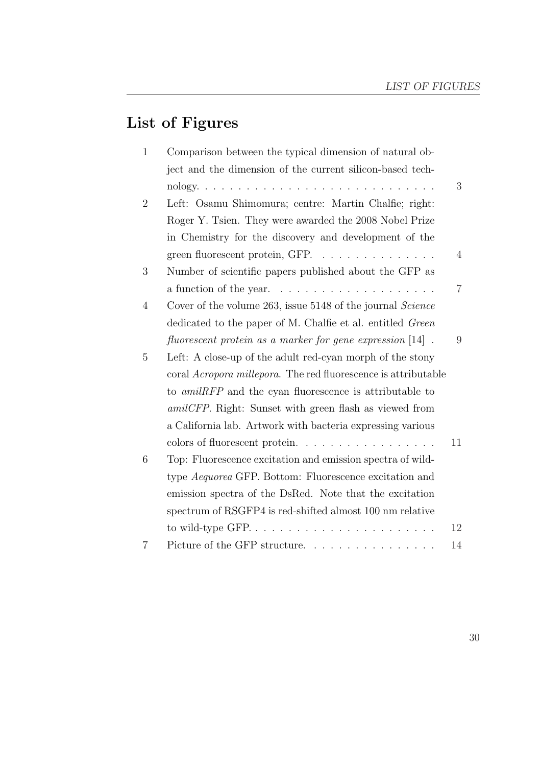# List of Figures

| $\mathbf{1}$   | Comparison between the typical dimension of natural ob-                |                |
|----------------|------------------------------------------------------------------------|----------------|
|                | ject and the dimension of the current silicon-based tech-              |                |
|                |                                                                        | 3              |
| $\overline{2}$ | Left: Osamu Shimomura; centre: Martin Chalfie; right:                  |                |
|                | Roger Y. Tsien. They were awarded the 2008 Nobel Prize                 |                |
|                | in Chemistry for the discovery and development of the                  |                |
|                | green fluorescent protein, GFP.                                        | $\overline{4}$ |
| 3              | Number of scientific papers published about the GFP as                 |                |
|                |                                                                        | $\overline{7}$ |
| 4              | Cover of the volume 263, issue 5148 of the journal <i>Science</i>      |                |
|                | dedicated to the paper of M. Chalfie et al. entitled Green             |                |
|                | fluorescent protein as a marker for gene expression $[14]$ .           | 9              |
| 5              | Left: A close-up of the adult red-cyan morph of the stony              |                |
|                | coral <i>Acropora millepora</i> . The red fluorescence is attributable |                |
|                | to <i>amilRFP</i> and the cyan fluorescence is attributable to         |                |
|                | <i>amilCFP</i> . Right: Sunset with green flash as viewed from         |                |
|                | a California lab. Artwork with bacteria expressing various             |                |
|                | colors of fluorescent protein                                          | 11             |
| 6              | Top: Fluorescence excitation and emission spectra of wild-             |                |
|                | type Aequorea GFP. Bottom: Fluorescence excitation and                 |                |
|                | emission spectra of the DsRed. Note that the excitation                |                |
|                | spectrum of RSGFP4 is red-shifted almost 100 nm relative               |                |
|                |                                                                        | 12             |
| 7              | Picture of the GFP structure                                           | 14             |
|                |                                                                        |                |